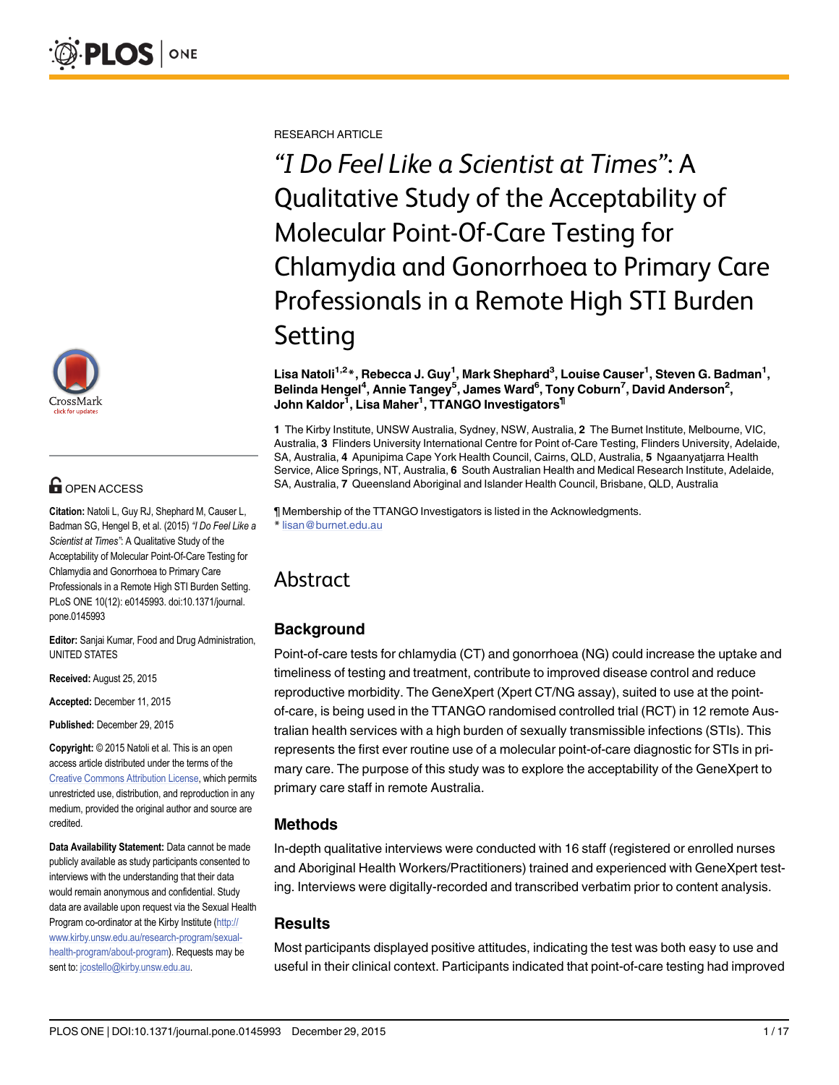

# **OPEN ACCESS**

Citation: Natoli L, Guy RJ, Shephard M, Causer L, Badman SG, Hengel B, et al. (2015) "I Do Feel Like a Scientist at Times": A Qualitative Study of the Acceptability of Molecular Point-Of-Care Testing for Chlamydia and Gonorrhoea to Primary Care Professionals in a Remote High STI Burden Setting. PLoS ONE 10(12): e0145993. doi:10.1371/journal. pone.0145993

Editor: Sanjai Kumar, Food and Drug Administration, UNITED STATES

Received: August 25, 2015

Accepted: December 11, 2015

Published: December 29, 2015

Copyright: © 2015 Natoli et al. This is an open access article distributed under the terms of the [Creative Commons Attribution License,](http://creativecommons.org/licenses/by/4.0/) which permits unrestricted use, distribution, and reproduction in any medium, provided the original author and source are credited.

Data Availability Statement: Data cannot be made publicly available as study participants consented to interviews with the understanding that their data would remain anonymous and confidential. Study data are available upon request via the Sexual Health Program co-ordinator at the Kirby Institute [\(http://](http://www.kirby.unsw.edu.au/research-program/sexual-health-program/about-program) [www.kirby.unsw.edu.au/research-program/sexual](http://www.kirby.unsw.edu.au/research-program/sexual-health-program/about-program)[health-program/about-program\)](http://www.kirby.unsw.edu.au/research-program/sexual-health-program/about-program). Requests may be sent to: jcostello@kirby.unsw.edu.au.

RESEARCH ARTICLE

"I Do Feel Like a Scientist at Times": A Qualitative Study of the Acceptability of Molecular Point-Of-Care Testing for Chlamydia and Gonorrhoea to Primary Care Professionals in a Remote High STI Burden Setting

Lisa Natoli<sup>1,2</sup>\*, Rebecca J. Guy<sup>1</sup>, Mark Shephard<sup>3</sup>, Louise Causer<sup>1</sup>, Steven G. Badman<sup>1</sup>, Belinda Hengel<sup>4</sup>, Annie Tangey<sup>5</sup>, James Ward<sup>6</sup>, Tony Coburn<sup>7</sup>, David Anderson<sup>2</sup>, John Kaldor<sup>1</sup>, Lisa Maher<sup>1</sup>, TTANGO Investigators<sup>¶</sup>

1 The Kirby Institute, UNSW Australia, Sydney, NSW, Australia, 2 The Burnet Institute, Melbourne, VIC, Australia, 3 Flinders University International Centre for Point of-Care Testing, Flinders University, Adelaide, SA, Australia, 4 Apunipima Cape York Health Council, Cairns, QLD, Australia, 5 Ngaanyatjarra Health Service, Alice Springs, NT, Australia, 6 South Australian Health and Medical Research Institute, Adelaide, SA, Australia, 7 Queensland Aboriginal and Islander Health Council, Brisbane, QLD, Australia

¶ Membership of the TTANGO Investigators is listed in the Acknowledgments. \* lisan@burnet.edu.au

# Abstract

## Background

Point-of-care tests for chlamydia (CT) and gonorrhoea (NG) could increase the uptake and timeliness of testing and treatment, contribute to improved disease control and reduce reproductive morbidity. The GeneXpert (Xpert CT/NG assay), suited to use at the pointof-care, is being used in the TTANGO randomised controlled trial (RCT) in 12 remote Australian health services with a high burden of sexually transmissible infections (STIs). This represents the first ever routine use of a molecular point-of-care diagnostic for STIs in primary care. The purpose of this study was to explore the acceptability of the GeneXpert to primary care staff in remote Australia.

### Methods

In-depth qualitative interviews were conducted with 16 staff (registered or enrolled nurses and Aboriginal Health Workers/Practitioners) trained and experienced with GeneXpert testing. Interviews were digitally-recorded and transcribed verbatim prior to content analysis.

### **Results**

Most participants displayed positive attitudes, indicating the test was both easy to use and useful in their clinical context. Participants indicated that point-of-care testing had improved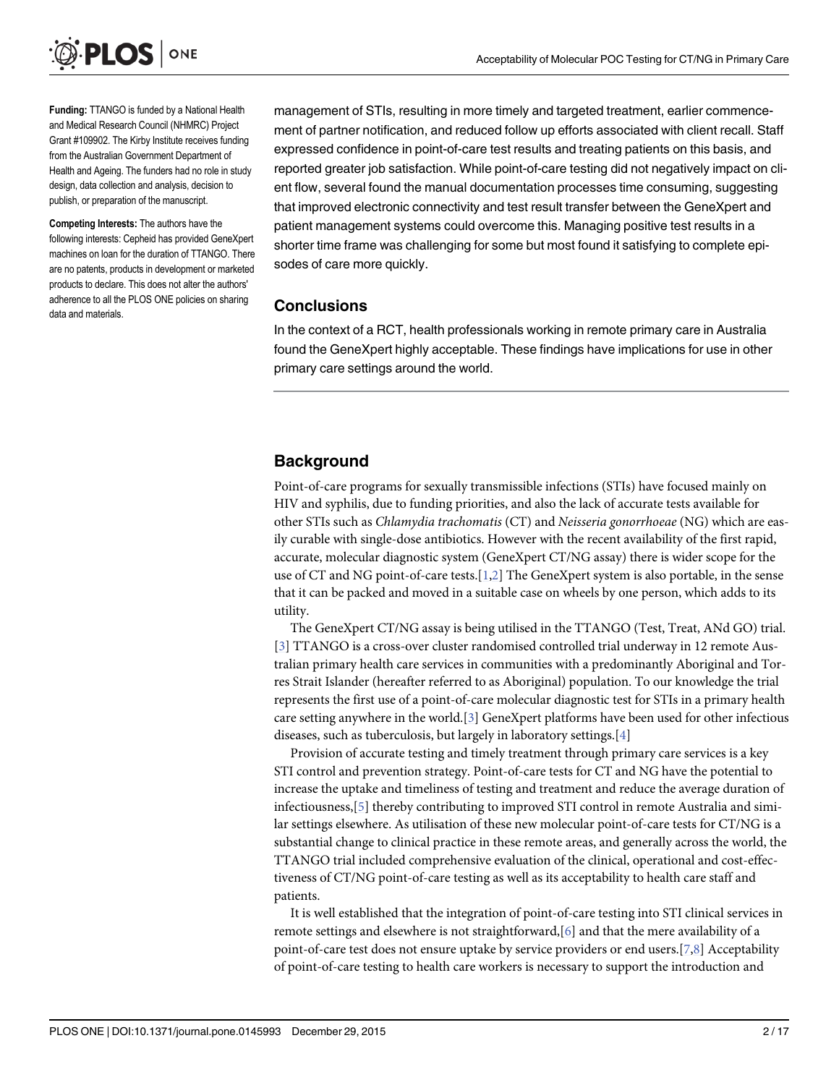<span id="page-1-0"></span>

Funding: TTANGO is funded by a National Health and Medical Research Council (NHMRC) Project Grant #109902. The Kirby Institute receives funding from the Australian Government Department of Health and Ageing. The funders had no role in study design, data collection and analysis, decision to publish, or preparation of the manuscript.

Competing Interests: The authors have the following interests: Cepheid has provided GeneXpert machines on loan for the duration of TTANGO. There are no patents, products in development or marketed products to declare. This does not alter the authors' adherence to all the PLOS ONE policies on sharing data and materials.

management of STIs, resulting in more timely and targeted treatment, earlier commencement of partner notification, and reduced follow up efforts associated with client recall. Staff expressed confidence in point-of-care test results and treating patients on this basis, and reported greater job satisfaction. While point-of-care testing did not negatively impact on client flow, several found the manual documentation processes time consuming, suggesting that improved electronic connectivity and test result transfer between the GeneXpert and patient management systems could overcome this. Managing positive test results in a shorter time frame was challenging for some but most found it satisfying to complete episodes of care more quickly.

### **Conclusions**

In the context of a RCT, health professionals working in remote primary care in Australia found the GeneXpert highly acceptable. These findings have implications for use in other primary care settings around the world.

## **Background**

Point-of-care programs for sexually transmissible infections (STIs) have focused mainly on HIV and syphilis, due to funding priorities, and also the lack of accurate tests available for other STIs such as Chlamydia trachomatis (CT) and Neisseria gonorrhoeae (NG) which are easily curable with single-dose antibiotics. However with the recent availability of the first rapid, accurate, molecular diagnostic system (GeneXpert CT/NG assay) there is wider scope for the use of CT and NG point-of-care tests.[\[1,2\]](#page-14-0) The GeneXpert system is also portable, in the sense that it can be packed and moved in a suitable case on wheels by one person, which adds to its utility.

The GeneXpert CT/NG assay is being utilised in the TTANGO (Test, Treat, ANd GO) trial. [\[3](#page-14-0)] TTANGO is a cross-over cluster randomised controlled trial underway in 12 remote Australian primary health care services in communities with a predominantly Aboriginal and Torres Strait Islander (hereafter referred to as Aboriginal) population. To our knowledge the trial represents the first use of a point-of-care molecular diagnostic test for STIs in a primary health care setting anywhere in the world.[[3](#page-14-0)] GeneXpert platforms have been used for other infectious diseases, such as tuberculosis, but largely in laboratory settings.[\[4](#page-14-0)]

Provision of accurate testing and timely treatment through primary care services is a key STI control and prevention strategy. Point-of-care tests for CT and NG have the potential to increase the uptake and timeliness of testing and treatment and reduce the average duration of infectiousness,[\[5](#page-14-0)] thereby contributing to improved STI control in remote Australia and similar settings elsewhere. As utilisation of these new molecular point-of-care tests for CT/NG is a substantial change to clinical practice in these remote areas, and generally across the world, the TTANGO trial included comprehensive evaluation of the clinical, operational and cost-effectiveness of CT/NG point-of-care testing as well as its acceptability to health care staff and patients.

It is well established that the integration of point-of-care testing into STI clinical services in remote settings and elsewhere is not straightforward,  $[6]$  $[6]$  and that the mere availability of a point-of-care test does not ensure uptake by service providers or end users.[\[7,8\]](#page-14-0) Acceptability of point-of-care testing to health care workers is necessary to support the introduction and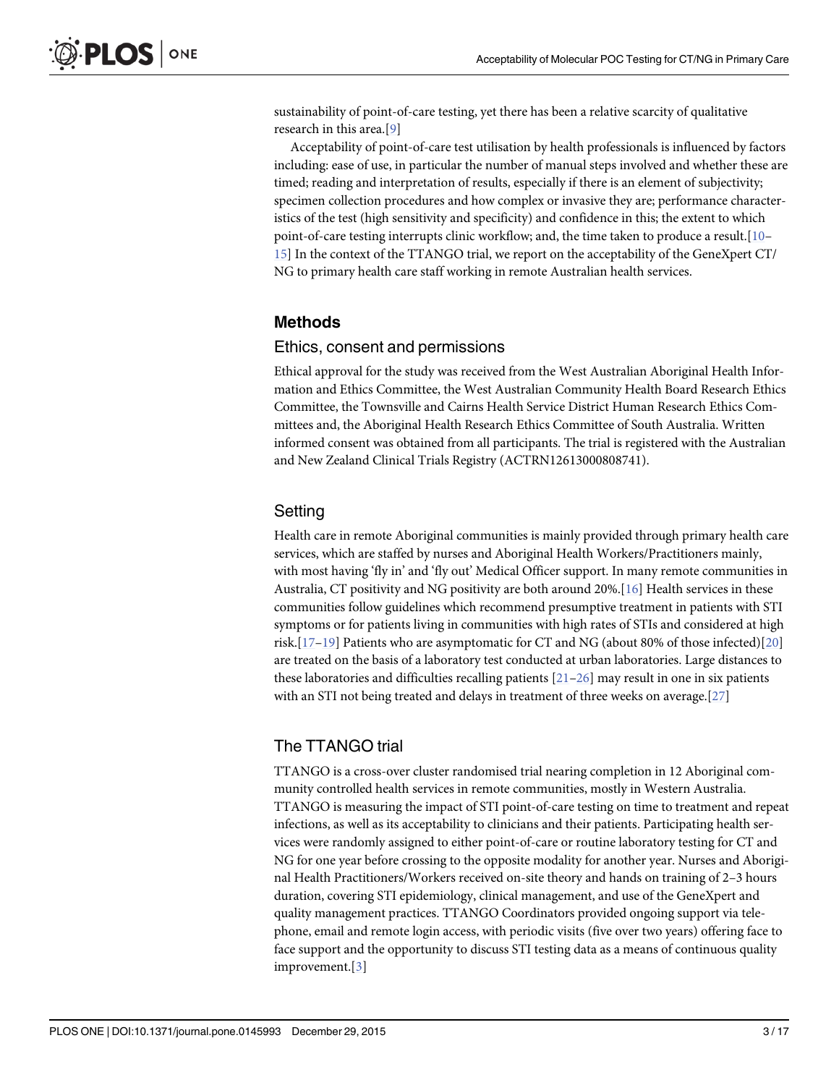<span id="page-2-0"></span>sustainability of point-of-care testing, yet there has been a relative scarcity of qualitative research in this area.[[9](#page-14-0)]

Acceptability of point-of-care test utilisation by health professionals is influenced by factors including: ease of use, in particular the number of manual steps involved and whether these are timed; reading and interpretation of results, especially if there is an element of subjectivity; specimen collection procedures and how complex or invasive they are; performance characteristics of the test (high sensitivity and specificity) and confidence in this; the extent to which point-of-care testing interrupts clinic workflow; and, the time taken to produce a result.[[10](#page-15-0)– [15\]](#page-15-0) In the context of the TTANGO trial, we report on the acceptability of the GeneXpert CT/ NG to primary health care staff working in remote Australian health services.

### Methods

#### Ethics, consent and permissions

Ethical approval for the study was received from the West Australian Aboriginal Health Information and Ethics Committee, the West Australian Community Health Board Research Ethics Committee, the Townsville and Cairns Health Service District Human Research Ethics Committees and, the Aboriginal Health Research Ethics Committee of South Australia. Written informed consent was obtained from all participants. The trial is registered with the Australian and New Zealand Clinical Trials Registry (ACTRN12613000808741).

### **Setting**

Health care in remote Aboriginal communities is mainly provided through primary health care services, which are staffed by nurses and Aboriginal Health Workers/Practitioners mainly, with most having 'fly in' and 'fly out' Medical Officer support. In many remote communities in Australia, CT positivity and NG positivity are both around 20%.[\[16](#page-15-0)] Health services in these communities follow guidelines which recommend presumptive treatment in patients with STI symptoms or for patients living in communities with high rates of STIs and considered at high risk.[\[17](#page-15-0)–[19\]](#page-15-0) Patients who are asymptomatic for CT and NG (about 80% of those infected)[[20\]](#page-15-0) are treated on the basis of a laboratory test conducted at urban laboratories. Large distances to these laboratories and difficulties recalling patients  $[21-26]$  $[21-26]$  $[21-26]$  $[21-26]$  may result in one in six patients with an STI not being treated and delays in treatment of three weeks on average.[[27](#page-15-0)]

### The TTANGO trial

TTANGO is a cross-over cluster randomised trial nearing completion in 12 Aboriginal community controlled health services in remote communities, mostly in Western Australia. TTANGO is measuring the impact of STI point-of-care testing on time to treatment and repeat infections, as well as its acceptability to clinicians and their patients. Participating health services were randomly assigned to either point-of-care or routine laboratory testing for CT and NG for one year before crossing to the opposite modality for another year. Nurses and Aboriginal Health Practitioners/Workers received on-site theory and hands on training of 2–3 hours duration, covering STI epidemiology, clinical management, and use of the GeneXpert and quality management practices. TTANGO Coordinators provided ongoing support via telephone, email and remote login access, with periodic visits (five over two years) offering face to face support and the opportunity to discuss STI testing data as a means of continuous quality improvement.[[3\]](#page-14-0)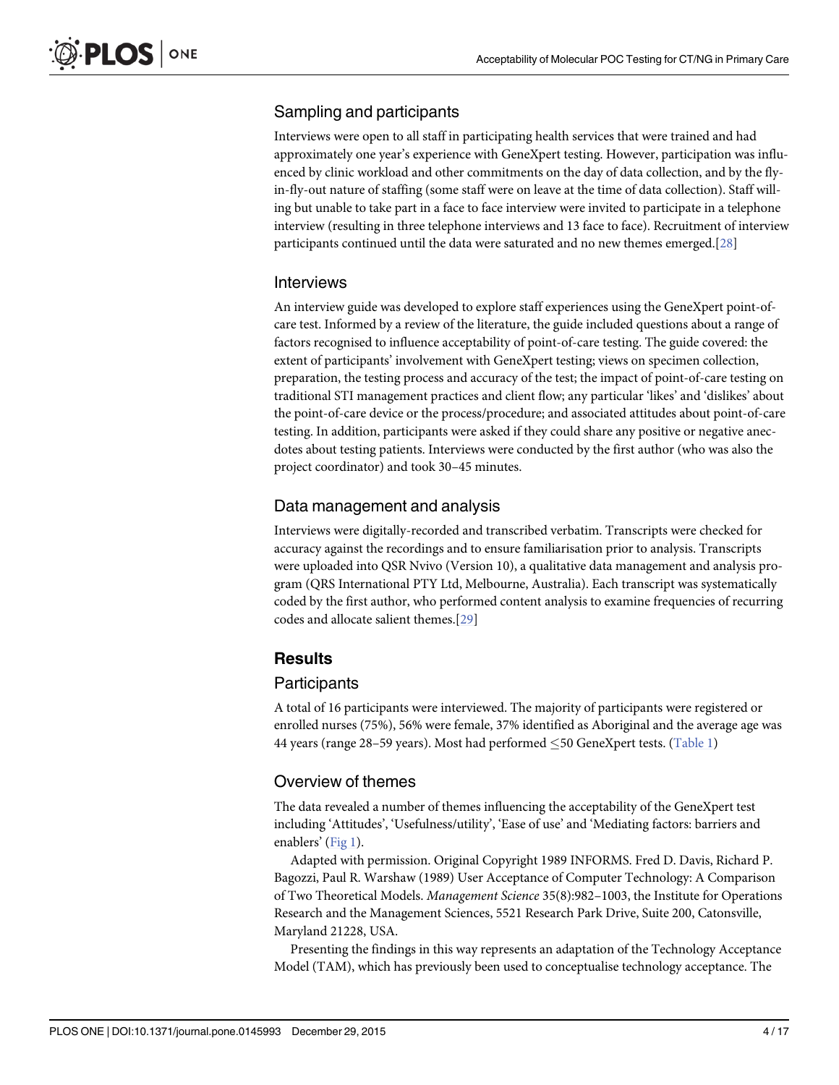## <span id="page-3-0"></span>Sampling and participants

Interviews were open to all staff in participating health services that were trained and had approximately one year's experience with GeneXpert testing. However, participation was influenced by clinic workload and other commitments on the day of data collection, and by the flyin-fly-out nature of staffing (some staff were on leave at the time of data collection). Staff willing but unable to take part in a face to face interview were invited to participate in a telephone interview (resulting in three telephone interviews and 13 face to face). Recruitment of interview participants continued until the data were saturated and no new themes emerged.[[28](#page-15-0)]

### **Interviews**

An interview guide was developed to explore staff experiences using the GeneXpert point-ofcare test. Informed by a review of the literature, the guide included questions about a range of factors recognised to influence acceptability of point-of-care testing. The guide covered: the extent of participants' involvement with GeneXpert testing; views on specimen collection, preparation, the testing process and accuracy of the test; the impact of point-of-care testing on traditional STI management practices and client flow; any particular 'likes' and 'dislikes' about the point-of-care device or the process/procedure; and associated attitudes about point-of-care testing. In addition, participants were asked if they could share any positive or negative anecdotes about testing patients. Interviews were conducted by the first author (who was also the project coordinator) and took 30–45 minutes.

## Data management and analysis

Interviews were digitally-recorded and transcribed verbatim. Transcripts were checked for accuracy against the recordings and to ensure familiarisation prior to analysis. Transcripts were uploaded into QSR Nvivo (Version 10), a qualitative data management and analysis program (QRS International PTY Ltd, Melbourne, Australia). Each transcript was systematically coded by the first author, who performed content analysis to examine frequencies of recurring codes and allocate salient themes.[[29\]](#page-15-0)

## **Results**

## **Participants**

A total of 16 participants were interviewed. The majority of participants were registered or enrolled nurses (75%), 56% were female, 37% identified as Aboriginal and the average age was 44 years (range 28–59 years). Most had performed  $\leq$  50 GeneXpert tests. ([Table 1\)](#page-4-0)

## Overview of themes

The data revealed a number of themes influencing the acceptability of the GeneXpert test including 'Attitudes', 'Usefulness/utility', 'Ease of use' and 'Mediating factors: barriers and enablers' ([Fig 1](#page-5-0)).

Adapted with permission. Original Copyright 1989 INFORMS. Fred D. Davis, Richard P. Bagozzi, Paul R. Warshaw (1989) User Acceptance of Computer Technology: A Comparison of Two Theoretical Models. Management Science 35(8):982–1003, the Institute for Operations Research and the Management Sciences, 5521 Research Park Drive, Suite 200, Catonsville, Maryland 21228, USA.

Presenting the findings in this way represents an adaptation of the Technology Acceptance Model (TAM), which has previously been used to conceptualise technology acceptance. The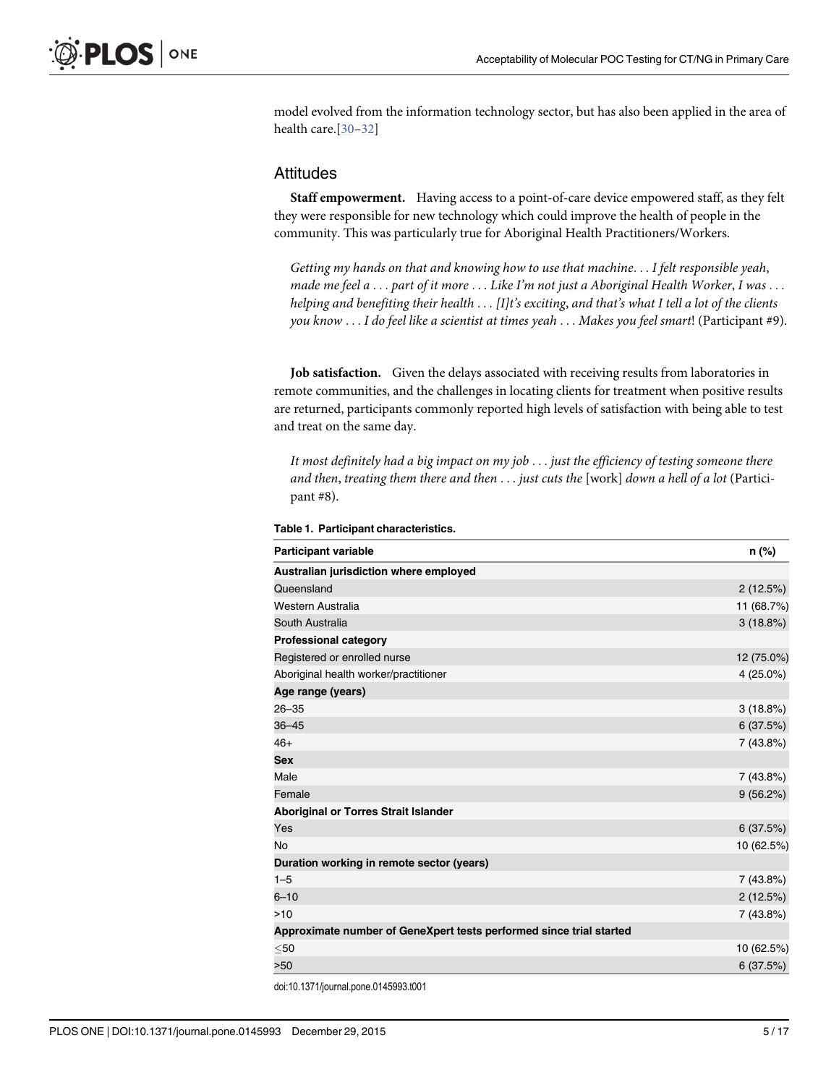<span id="page-4-0"></span>model evolved from the information technology sector, but has also been applied in the area of health care.<sup>[[30](#page-16-0)–[32](#page-16-0)]</sup>

#### **Attitudes**

Staff empowerment. Having access to a point-of-care device empowered staff, as they felt they were responsible for new technology which could improve the health of people in the community. This was particularly true for Aboriginal Health Practitioners/Workers.

Getting my hands on that and knowing how to use that machine... I felt responsible yeah, made me feel a ... part of it more ... Like I'm not just a Aboriginal Health Worker, I was ... helping and benefiting their health ... [I]t's exciting, and that's what I tell a lot of the clients you know ... I do feel like a scientist at times yeah ... Makes you feel smart! (Participant #9).

Job satisfaction. Given the delays associated with receiving results from laboratories in remote communities, and the challenges in locating clients for treatment when positive results are returned, participants commonly reported high levels of satisfaction with being able to test and treat on the same day.

It most definitely had a big impact on my job ... just the efficiency of testing someone there and then, treating them there and then  $\dots$  just cuts the [work] down a hell of a lot (Participant #8).

| <b>Participant variable</b>                                         | $n$ (%)     |
|---------------------------------------------------------------------|-------------|
| Australian jurisdiction where employed                              |             |
| Queensland                                                          | 2(12.5%)    |
| Western Australia                                                   | 11 (68.7%)  |
| South Australia                                                     | 3(18.8%)    |
| <b>Professional category</b>                                        |             |
| Registered or enrolled nurse                                        | 12 (75.0%)  |
| Aboriginal health worker/practitioner                               | $4(25.0\%)$ |
| Age range (years)                                                   |             |
| $26 - 35$                                                           | 3(18.8%)    |
| $36 - 45$                                                           | 6(37.5%)    |
| $46+$                                                               | 7(43.8%)    |
| <b>Sex</b>                                                          |             |
| Male                                                                | 7 (43.8%)   |
| Female                                                              | 9(56.2%)    |
| Aboriginal or Torres Strait Islander                                |             |
| Yes                                                                 | 6(37.5%)    |
| <b>No</b>                                                           | 10 (62.5%)  |
| Duration working in remote sector (years)                           |             |
| $1 - 5$                                                             | 7 (43.8%)   |
| $6 - 10$                                                            | 2(12.5%)    |
| >10                                                                 | 7 (43.8%)   |
| Approximate number of GeneXpert tests performed since trial started |             |
| $50$                                                                | 10 (62.5%)  |
| >50                                                                 | 6(37.5%)    |
|                                                                     |             |

#### [Table 1.](#page-3-0) Participant characteristics.

doi:10.1371/journal.pone.0145993.t001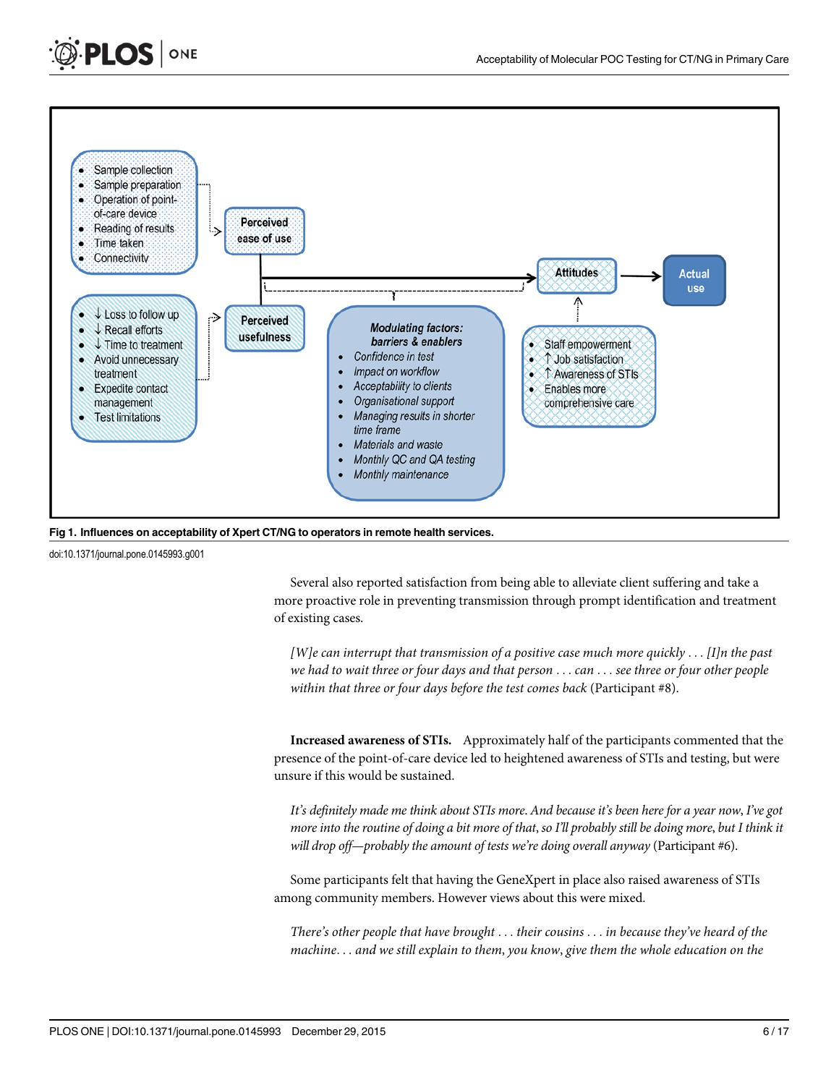<span id="page-5-0"></span>



[Fig 1. I](#page-3-0)nfluences on acceptability of Xpert CT/NG to operators in remote health services.

doi:10.1371/journal.pone.0145993.g001

Several also reported satisfaction from being able to alleviate client suffering and take a more proactive role in preventing transmission through prompt identification and treatment of existing cases.

[W]e can interrupt that transmission of a positive case much more quickly  $\dots$  [I]n the past we had to wait three or four days and that person . . . can . . . see three or four other people within that three or four days before the test comes back (Participant #8).

Increased awareness of STIs. Approximately half of the participants commented that the presence of the point-of-care device led to heightened awareness of STIs and testing, but were unsure if this would be sustained.

It's definitely made me think about STIs more. And because it's been here for a year now, I've got more into the routine of doing a bit more of that, so I'll probably still be doing more, but I think it will drop off—probably the amount of tests we're doing overall anyway (Participant #6).

Some participants felt that having the GeneXpert in place also raised awareness of STIs among community members. However views about this were mixed.

There's other people that have brought ... their cousins ... in because they've heard of the machine... and we still explain to them, you know, give them the whole education on the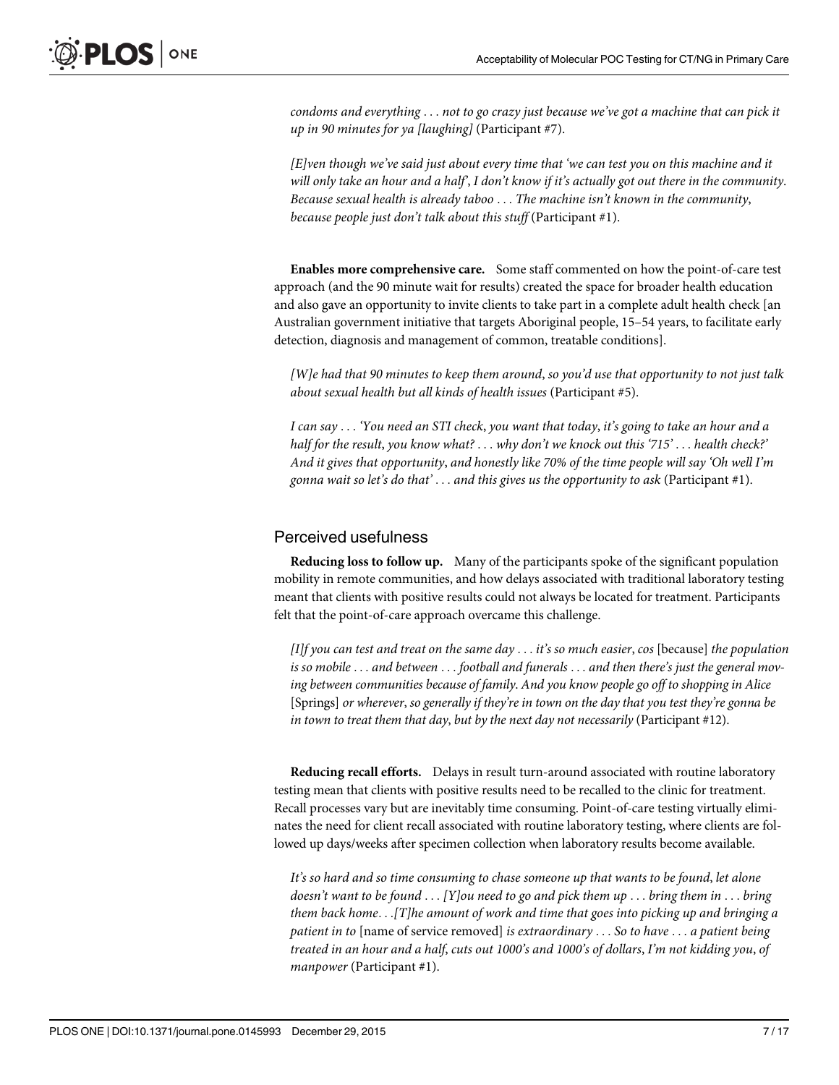condoms and everything ... not to go crazy just because we've got a machine that can pick it up in 90 minutes for ya [laughing] (Participant #7).

[E]ven though we've said just about every time that 'we can test you on this machine and it will only take an hour and a half', I don't know if it's actually got out there in the community. Because sexual health is already taboo ... The machine isn't known in the community, because people just don't talk about this stuff (Participant #1).

Enables more comprehensive care. Some staff commented on how the point-of-care test approach (and the 90 minute wait for results) created the space for broader health education and also gave an opportunity to invite clients to take part in a complete adult health check [an Australian government initiative that targets Aboriginal people, 15–54 years, to facilitate early detection, diagnosis and management of common, treatable conditions].

[W]e had that 90 minutes to keep them around, so you'd use that opportunity to not just talk about sexual health but all kinds of health issues (Participant #5).

I can say ... 'You need an STI check, you want that today, it's going to take an hour and a half for the result, you know what? ... why don't we knock out this '715' ... health check?' And it gives that opportunity, and honestly like 70% of the time people will say 'Oh well I'm gonna wait so let's do that'  $\dots$  and this gives us the opportunity to ask (Participant #1).

### Perceived usefulness

Reducing loss to follow up. Many of the participants spoke of the significant population mobility in remote communities, and how delays associated with traditional laboratory testing meant that clients with positive results could not always be located for treatment. Participants felt that the point-of-care approach overcame this challenge.

[I]f you can test and treat on the same day  $\dots$  it's so much easier, cos [because] the population is so mobile ... and between ... football and funerals ... and then there's just the general moving between communities because of family. And you know people go off to shopping in Alice [Springs] or wherever, so generally if they're in town on the day that you test they're gonna be in town to treat them that day, but by the next day not necessarily (Participant #12).

Reducing recall efforts. Delays in result turn-around associated with routine laboratory testing mean that clients with positive results need to be recalled to the clinic for treatment. Recall processes vary but are inevitably time consuming. Point-of-care testing virtually eliminates the need for client recall associated with routine laboratory testing, where clients are followed up days/weeks after specimen collection when laboratory results become available.

It's so hard and so time consuming to chase someone up that wants to be found, let alone doesn't want to be found  $\dots$  [Y]ou need to go and pick them up  $\dots$  bring them in  $\dots$  bring them back home...[T]he amount of work and time that goes into picking up and bringing a patient in to [name of service removed] is extraordinary ... So to have ... a patient being treated in an hour and a half, cuts out 1000's and 1000's of dollars, I'm not kidding you, of manpower (Participant #1).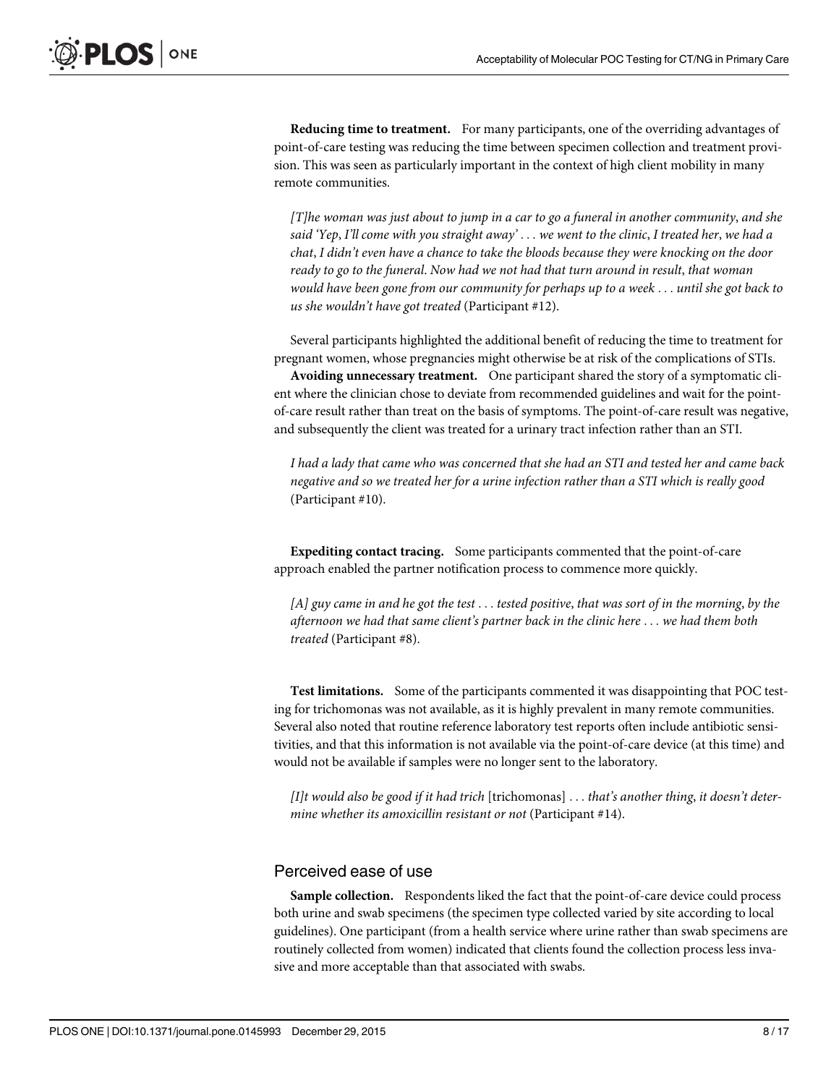Reducing time to treatment. For many participants, one of the overriding advantages of point-of-care testing was reducing the time between specimen collection and treatment provision. This was seen as particularly important in the context of high client mobility in many remote communities.

[T]he woman was just about to jump in a car to go a funeral in another community, and she said 'Yep, I'll come with you straight away'  $\dots$  we went to the clinic, I treated her, we had a chat, I didn't even have a chance to take the bloods because they were knocking on the door ready to go to the funeral. Now had we not had that turn around in result, that woman would have been gone from our community for perhaps up to a week ... until she got back to us she wouldn't have got treated (Participant #12).

Several participants highlighted the additional benefit of reducing the time to treatment for pregnant women, whose pregnancies might otherwise be at risk of the complications of STIs.

Avoiding unnecessary treatment. One participant shared the story of a symptomatic client where the clinician chose to deviate from recommended guidelines and wait for the pointof-care result rather than treat on the basis of symptoms. The point-of-care result was negative, and subsequently the client was treated for a urinary tract infection rather than an STI.

I had a lady that came who was concerned that she had an STI and tested her and came back negative and so we treated her for a urine infection rather than a STI which is really good (Participant #10).

Expediting contact tracing. Some participants commented that the point-of-care approach enabled the partner notification process to commence more quickly.

[A] guy came in and he got the test ... tested positive, that was sort of in the morning, by the afternoon we had that same client's partner back in the clinic here ... we had them both treated (Participant #8).

Test limitations. Some of the participants commented it was disappointing that POC testing for trichomonas was not available, as it is highly prevalent in many remote communities. Several also noted that routine reference laboratory test reports often include antibiotic sensitivities, and that this information is not available via the point-of-care device (at this time) and would not be available if samples were no longer sent to the laboratory.

[I]t would also be good if it had trich [trichomonas]  $\dots$  that's another thing, it doesn't determine whether its amoxicillin resistant or not (Participant #14).

#### Perceived ease of use

Sample collection. Respondents liked the fact that the point-of-care device could process both urine and swab specimens (the specimen type collected varied by site according to local guidelines). One participant (from a health service where urine rather than swab specimens are routinely collected from women) indicated that clients found the collection process less invasive and more acceptable than that associated with swabs.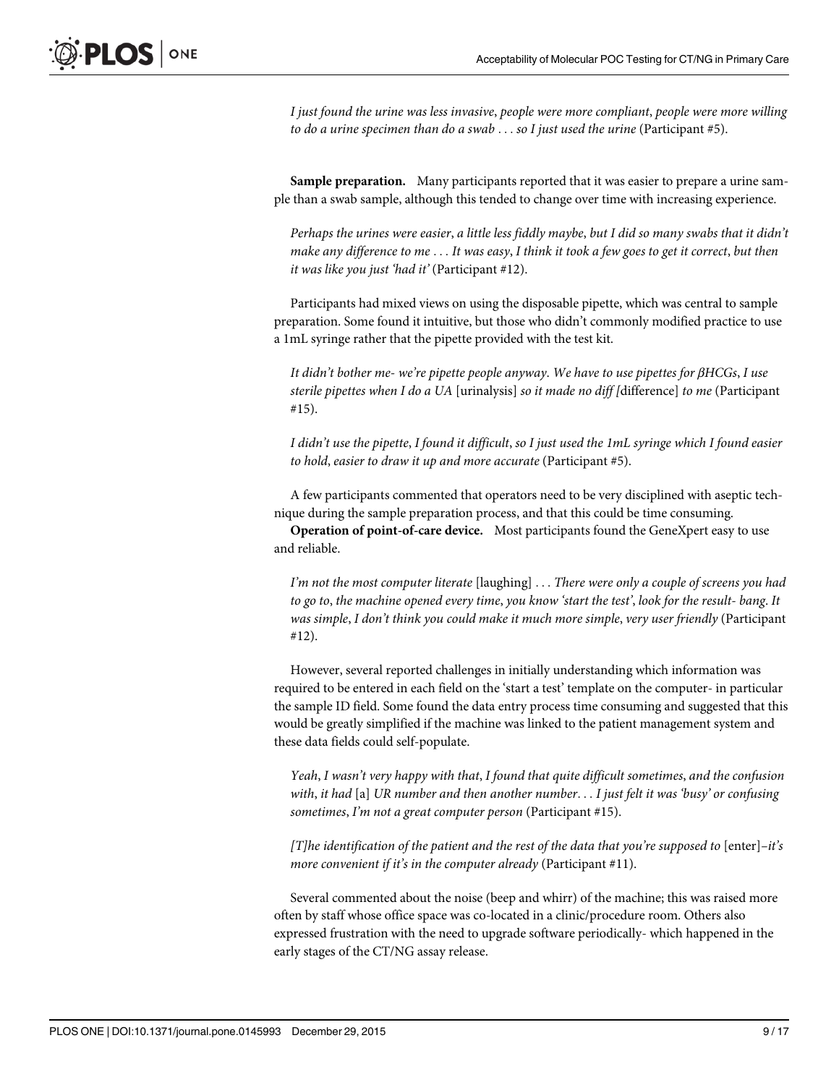I just found the urine was less invasive, people were more compliant, people were more willing to do a urine specimen than do a swab ... so I just used the urine (Participant #5).

Sample preparation. Many participants reported that it was easier to prepare a urine sample than a swab sample, although this tended to change over time with increasing experience.

Perhaps the urines were easier, a little less fiddly maybe, but I did so many swabs that it didn't make any difference to me ... It was easy, I think it took a few goes to get it correct, but then it was like you just 'had it' (Participant #12).

Participants had mixed views on using the disposable pipette, which was central to sample preparation. Some found it intuitive, but those who didn't commonly modified practice to use a 1mL syringe rather that the pipette provided with the test kit.

It didn't bother me- we're pipette people anyway. We have to use pipettes for βHCGs, I use sterile pipettes when I do a UA [urinalysis] so it made no diff [difference] to me (Participant #15).

I didn't use the pipette, I found it difficult, so I just used the 1mL syringe which I found easier to hold, easier to draw it up and more accurate (Participant #5).

A few participants commented that operators need to be very disciplined with aseptic technique during the sample preparation process, and that this could be time consuming.

Operation of point-of-care device. Most participants found the GeneXpert easy to use and reliable.

I'm not the most computer literate  $[$ laughing $] \dots$  There were only a couple of screens you had to go to, the machine opened every time, you know 'start the test', look for the result- bang. It was simple, I don't think you could make it much more simple, very user friendly (Participant #12).

However, several reported challenges in initially understanding which information was required to be entered in each field on the 'start a test' template on the computer- in particular the sample ID field. Some found the data entry process time consuming and suggested that this would be greatly simplified if the machine was linked to the patient management system and these data fields could self-populate.

Yeah, I wasn't very happy with that, I found that quite difficult sometimes, and the confusion with, it had [a] UR number and then another number... I just felt it was 'busy' or confusing sometimes, I'm not a great computer person (Participant #15).

[T]he identification of the patient and the rest of the data that you're supposed to  $[$ enter $]$ –it's more convenient if it's in the computer already (Participant #11).

Several commented about the noise (beep and whirr) of the machine; this was raised more often by staff whose office space was co-located in a clinic/procedure room. Others also expressed frustration with the need to upgrade software periodically- which happened in the early stages of the CT/NG assay release.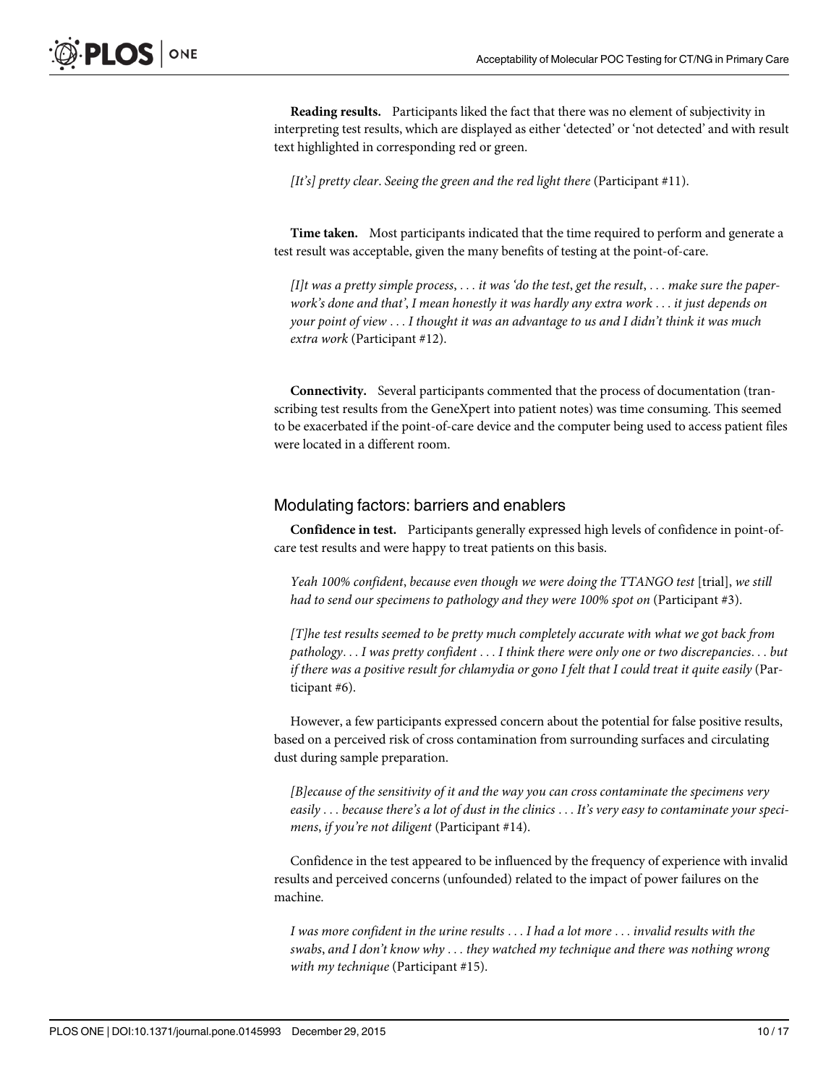Reading results. Participants liked the fact that there was no element of subjectivity in interpreting test results, which are displayed as either 'detected' or 'not detected' and with result text highlighted in corresponding red or green.

[It's] pretty clear. Seeing the green and the red light there (Participant #11).

Time taken. Most participants indicated that the time required to perform and generate a test result was acceptable, given the many benefits of testing at the point-of-care.

[I]t was a pretty simple process,  $\dots$  it was 'do the test, get the result,  $\dots$  make sure the paperwork's done and that', I mean honestly it was hardly any extra work ... it just depends on your point of view ... I thought it was an advantage to us and I didn't think it was much extra work (Participant #12).

Connectivity. Several participants commented that the process of documentation (transcribing test results from the GeneXpert into patient notes) was time consuming. This seemed to be exacerbated if the point-of-care device and the computer being used to access patient files were located in a different room.

#### Modulating factors: barriers and enablers

Confidence in test. Participants generally expressed high levels of confidence in point-ofcare test results and were happy to treat patients on this basis.

Yeah 100% confident, because even though we were doing the TTANGO test [trial], we still had to send our specimens to pathology and they were 100% spot on (Participant #3).

[T]he test results seemed to be pretty much completely accurate with what we got back from pathology... I was pretty confident ... I think there were only one or two discrepancies... but if there was a positive result for chlamydia or gono I felt that I could treat it quite easily (Participant #6).

However, a few participants expressed concern about the potential for false positive results, based on a perceived risk of cross contamination from surrounding surfaces and circulating dust during sample preparation.

[B]ecause of the sensitivity of it and the way you can cross contaminate the specimens very easily ... because there's a lot of dust in the clinics ... It's very easy to contaminate your specimens, if you're not diligent (Participant #14).

Confidence in the test appeared to be influenced by the frequency of experience with invalid results and perceived concerns (unfounded) related to the impact of power failures on the machine.

I was more confident in the urine results ... I had a lot more ... invalid results with the swabs, and I don't know why ... they watched my technique and there was nothing wrong with my technique (Participant #15).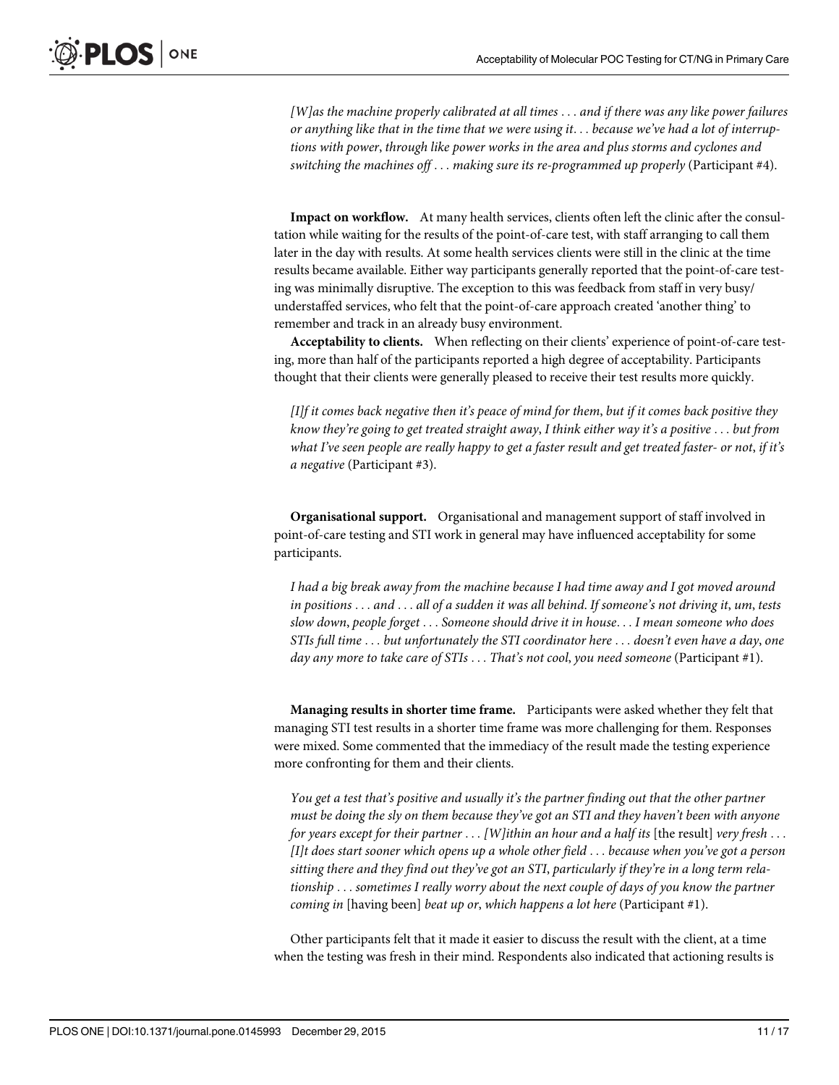[W]as the machine properly calibrated at all times ... and if there was any like power failures or anything like that in the time that we were using it... because we've had a lot of interruptions with power, through like power works in the area and plus storms and cyclones and switching the machines off ... making sure its re-programmed up properly (Participant #4).

Impact on workflow. At many health services, clients often left the clinic after the consultation while waiting for the results of the point-of-care test, with staff arranging to call them later in the day with results. At some health services clients were still in the clinic at the time results became available. Either way participants generally reported that the point-of-care testing was minimally disruptive. The exception to this was feedback from staff in very busy/ understaffed services, who felt that the point-of-care approach created 'another thing' to remember and track in an already busy environment.

Acceptability to clients. When reflecting on their clients' experience of point-of-care testing, more than half of the participants reported a high degree of acceptability. Participants thought that their clients were generally pleased to receive their test results more quickly.

[I]f it comes back negative then it's peace of mind for them, but if it comes back positive they know they're going to get treated straight away, I think either way it's a positive ... but from what I've seen people are really happy to get a faster result and get treated faster- or not, if it's a negative (Participant #3).

Organisational support. Organisational and management support of staff involved in point-of-care testing and STI work in general may have influenced acceptability for some participants.

I had a big break away from the machine because I had time away and I got moved around in positions ... and ... all of a sudden it was all behind. If someone's not driving it, um, tests slow down, people forget ... Someone should drive it in house... I mean someone who does STIs full time ... but unfortunately the STI coordinator here ... doesn't even have a day, one day any more to take care of  $STIs \dots That's$  not cool, you need someone (Participant #1).

Managing results in shorter time frame. Participants were asked whether they felt that managing STI test results in a shorter time frame was more challenging for them. Responses were mixed. Some commented that the immediacy of the result made the testing experience more confronting for them and their clients.

You get a test that's positive and usually it's the partner finding out that the other partner must be doing the sly on them because they've got an STI and they haven't been with anyone for years except for their partner  $\dots$  [W] ithin an hour and a half its [the result] very fresh  $\dots$ [I]t does start sooner which opens up a whole other field ... because when you've got a person sitting there and they find out they've got an STI, particularly if they're in a long term relationship ... sometimes I really worry about the next couple of days of you know the partner coming in [having been] beat up or, which happens a lot here (Participant #1).

Other participants felt that it made it easier to discuss the result with the client, at a time when the testing was fresh in their mind. Respondents also indicated that actioning results is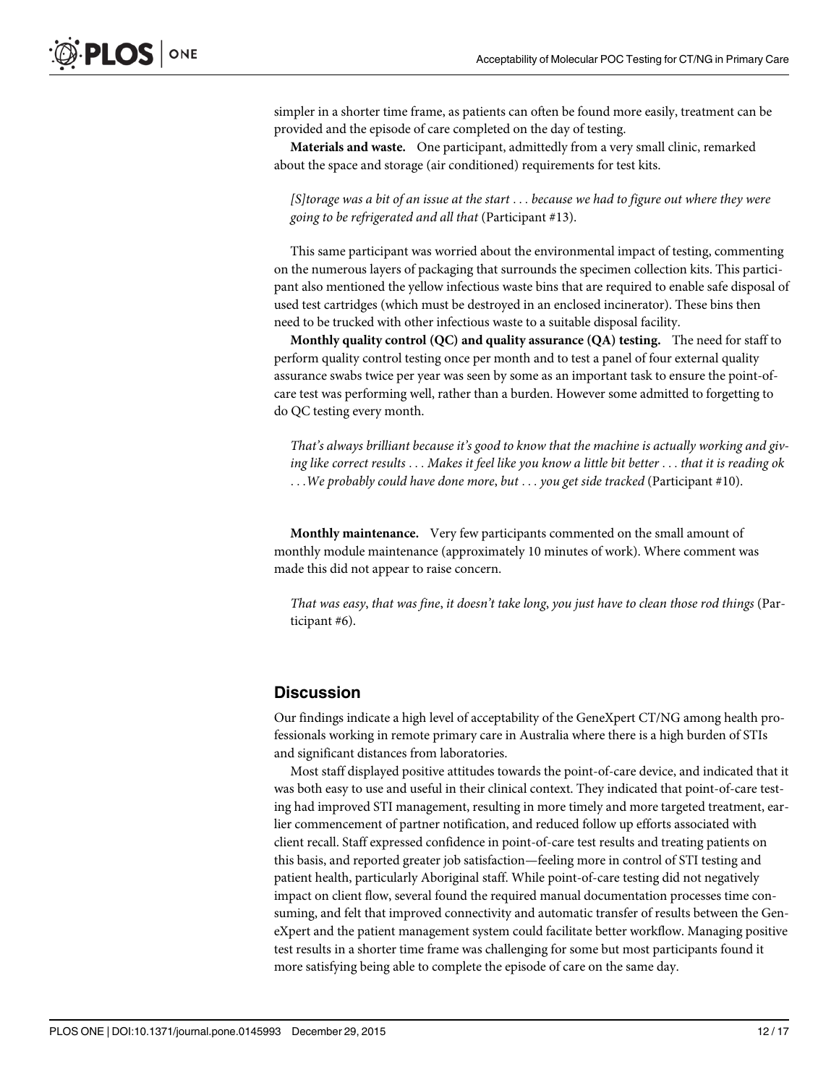simpler in a shorter time frame, as patients can often be found more easily, treatment can be provided and the episode of care completed on the day of testing.

Materials and waste. One participant, admittedly from a very small clinic, remarked about the space and storage (air conditioned) requirements for test kits.

[S]torage was a bit of an issue at the start ... because we had to figure out where they were going to be refrigerated and all that (Participant #13).

This same participant was worried about the environmental impact of testing, commenting on the numerous layers of packaging that surrounds the specimen collection kits. This participant also mentioned the yellow infectious waste bins that are required to enable safe disposal of used test cartridges (which must be destroyed in an enclosed incinerator). These bins then need to be trucked with other infectious waste to a suitable disposal facility.

Monthly quality control  $(QC)$  and quality assurance  $(QA)$  testing. The need for staff to perform quality control testing once per month and to test a panel of four external quality assurance swabs twice per year was seen by some as an important task to ensure the point-ofcare test was performing well, rather than a burden. However some admitted to forgetting to do QC testing every month.

That's always brilliant because it's good to know that the machine is actually working and giving like correct results ... Makes it feel like you know a little bit better ... that it is reading ok ...We probably could have done more, but ... you get side tracked (Participant #10).

Monthly maintenance. Very few participants commented on the small amount of monthly module maintenance (approximately 10 minutes of work). Where comment was made this did not appear to raise concern.

That was easy, that was fine, it doesn't take long, you just have to clean those rod things (Participant #6).

### **Discussion**

Our findings indicate a high level of acceptability of the GeneXpert CT/NG among health professionals working in remote primary care in Australia where there is a high burden of STIs and significant distances from laboratories.

Most staff displayed positive attitudes towards the point-of-care device, and indicated that it was both easy to use and useful in their clinical context. They indicated that point-of-care testing had improved STI management, resulting in more timely and more targeted treatment, earlier commencement of partner notification, and reduced follow up efforts associated with client recall. Staff expressed confidence in point-of-care test results and treating patients on this basis, and reported greater job satisfaction—feeling more in control of STI testing and patient health, particularly Aboriginal staff. While point-of-care testing did not negatively impact on client flow, several found the required manual documentation processes time consuming, and felt that improved connectivity and automatic transfer of results between the GeneXpert and the patient management system could facilitate better workflow. Managing positive test results in a shorter time frame was challenging for some but most participants found it more satisfying being able to complete the episode of care on the same day.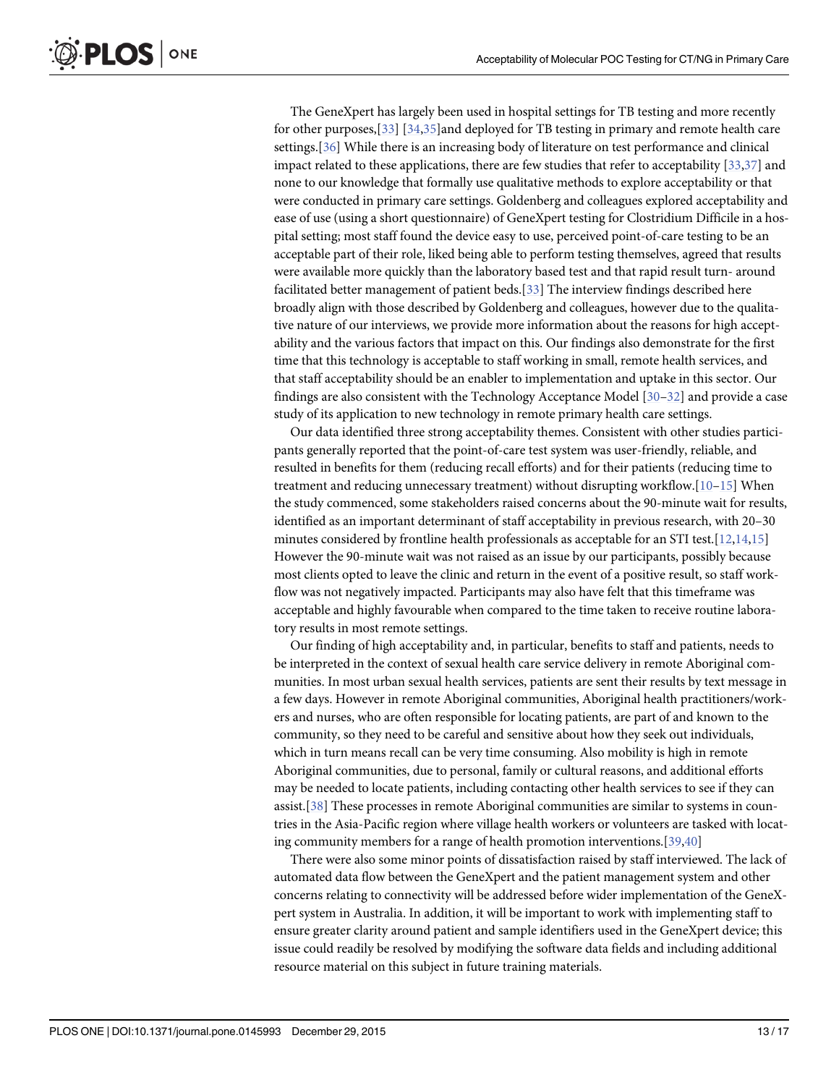<span id="page-12-0"></span>The GeneXpert has largely been used in hospital settings for TB testing and more recently for other purposes,[[33](#page-16-0)] [\[34,35\]](#page-16-0)and deployed for TB testing in primary and remote health care settings.[[36](#page-16-0)] While there is an increasing body of literature on test performance and clinical impact related to these applications, there are few studies that refer to acceptability [\[33,37\]](#page-16-0) and none to our knowledge that formally use qualitative methods to explore acceptability or that were conducted in primary care settings. Goldenberg and colleagues explored acceptability and ease of use (using a short questionnaire) of GeneXpert testing for Clostridium Difficile in a hospital setting; most staff found the device easy to use, perceived point-of-care testing to be an acceptable part of their role, liked being able to perform testing themselves, agreed that results were available more quickly than the laboratory based test and that rapid result turn- around facilitated better management of patient beds.[\[33\]](#page-16-0) The interview findings described here broadly align with those described by Goldenberg and colleagues, however due to the qualitative nature of our interviews, we provide more information about the reasons for high acceptability and the various factors that impact on this. Our findings also demonstrate for the first time that this technology is acceptable to staff working in small, remote health services, and that staff acceptability should be an enabler to implementation and uptake in this sector. Our findings are also consistent with the Technology Acceptance Model [\[30](#page-16-0)–[32\]](#page-16-0) and provide a case study of its application to new technology in remote primary health care settings.

Our data identified three strong acceptability themes. Consistent with other studies participants generally reported that the point-of-care test system was user-friendly, reliable, and resulted in benefits for them (reducing recall efforts) and for their patients (reducing time to treatment and reducing unnecessary treatment) without disrupting workflow.[[10](#page-15-0)–[15\]](#page-15-0) When the study commenced, some stakeholders raised concerns about the 90-minute wait for results, identified as an important determinant of staff acceptability in previous research, with 20–30 minutes considered by frontline health professionals as acceptable for an STI test.[[12](#page-15-0),[14,15\]](#page-15-0) However the 90-minute wait was not raised as an issue by our participants, possibly because most clients opted to leave the clinic and return in the event of a positive result, so staff workflow was not negatively impacted. Participants may also have felt that this timeframe was acceptable and highly favourable when compared to the time taken to receive routine laboratory results in most remote settings.

Our finding of high acceptability and, in particular, benefits to staff and patients, needs to be interpreted in the context of sexual health care service delivery in remote Aboriginal communities. In most urban sexual health services, patients are sent their results by text message in a few days. However in remote Aboriginal communities, Aboriginal health practitioners/workers and nurses, who are often responsible for locating patients, are part of and known to the community, so they need to be careful and sensitive about how they seek out individuals, which in turn means recall can be very time consuming. Also mobility is high in remote Aboriginal communities, due to personal, family or cultural reasons, and additional efforts may be needed to locate patients, including contacting other health services to see if they can assist.[[38](#page-16-0)] These processes in remote Aboriginal communities are similar to systems in countries in the Asia-Pacific region where village health workers or volunteers are tasked with locating community members for a range of health promotion interventions.[[39](#page-16-0),[40](#page-16-0)]

There were also some minor points of dissatisfaction raised by staff interviewed. The lack of automated data flow between the GeneXpert and the patient management system and other concerns relating to connectivity will be addressed before wider implementation of the GeneXpert system in Australia. In addition, it will be important to work with implementing staff to ensure greater clarity around patient and sample identifiers used in the GeneXpert device; this issue could readily be resolved by modifying the software data fields and including additional resource material on this subject in future training materials.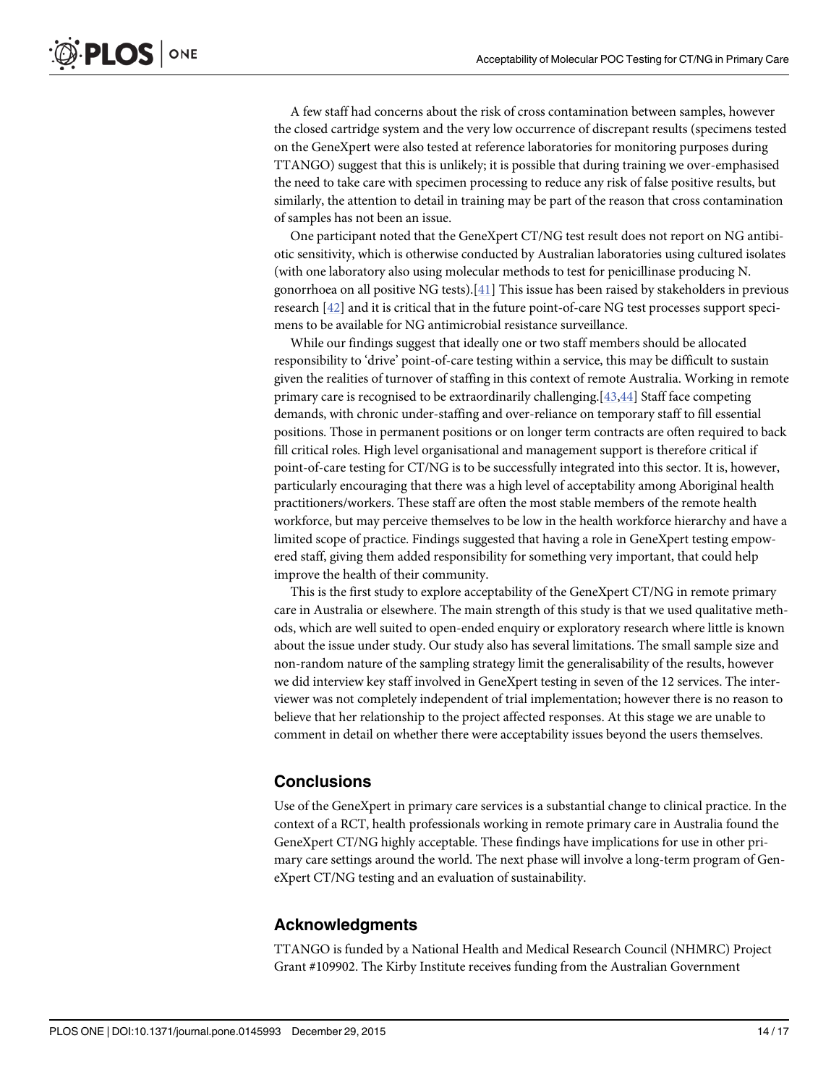<span id="page-13-0"></span>A few staff had concerns about the risk of cross contamination between samples, however the closed cartridge system and the very low occurrence of discrepant results (specimens tested on the GeneXpert were also tested at reference laboratories for monitoring purposes during TTANGO) suggest that this is unlikely; it is possible that during training we over-emphasised the need to take care with specimen processing to reduce any risk of false positive results, but similarly, the attention to detail in training may be part of the reason that cross contamination of samples has not been an issue.

One participant noted that the GeneXpert CT/NG test result does not report on NG antibiotic sensitivity, which is otherwise conducted by Australian laboratories using cultured isolates (with one laboratory also using molecular methods to test for penicillinase producing N. gonorrhoea on all positive NG tests).[[41\]](#page-16-0) This issue has been raised by stakeholders in previous research [[42](#page-16-0)] and it is critical that in the future point-of-care NG test processes support specimens to be available for NG antimicrobial resistance surveillance.

While our findings suggest that ideally one or two staff members should be allocated responsibility to 'drive' point-of-care testing within a service, this may be difficult to sustain given the realities of turnover of staffing in this context of remote Australia. Working in remote primary care is recognised to be extraordinarily challenging.[[43,44](#page-16-0)] Staff face competing demands, with chronic under-staffing and over-reliance on temporary staff to fill essential positions. Those in permanent positions or on longer term contracts are often required to back fill critical roles. High level organisational and management support is therefore critical if point-of-care testing for CT/NG is to be successfully integrated into this sector. It is, however, particularly encouraging that there was a high level of acceptability among Aboriginal health practitioners/workers. These staff are often the most stable members of the remote health workforce, but may perceive themselves to be low in the health workforce hierarchy and have a limited scope of practice. Findings suggested that having a role in GeneXpert testing empowered staff, giving them added responsibility for something very important, that could help improve the health of their community.

This is the first study to explore acceptability of the GeneXpert CT/NG in remote primary care in Australia or elsewhere. The main strength of this study is that we used qualitative methods, which are well suited to open-ended enquiry or exploratory research where little is known about the issue under study. Our study also has several limitations. The small sample size and non-random nature of the sampling strategy limit the generalisability of the results, however we did interview key staff involved in GeneXpert testing in seven of the 12 services. The interviewer was not completely independent of trial implementation; however there is no reason to believe that her relationship to the project affected responses. At this stage we are unable to comment in detail on whether there were acceptability issues beyond the users themselves.

### **Conclusions**

Use of the GeneXpert in primary care services is a substantial change to clinical practice. In the context of a RCT, health professionals working in remote primary care in Australia found the GeneXpert CT/NG highly acceptable. These findings have implications for use in other primary care settings around the world. The next phase will involve a long-term program of GeneXpert CT/NG testing and an evaluation of sustainability.

### Acknowledgments

TTANGO is funded by a National Health and Medical Research Council (NHMRC) Project Grant #109902. The Kirby Institute receives funding from the Australian Government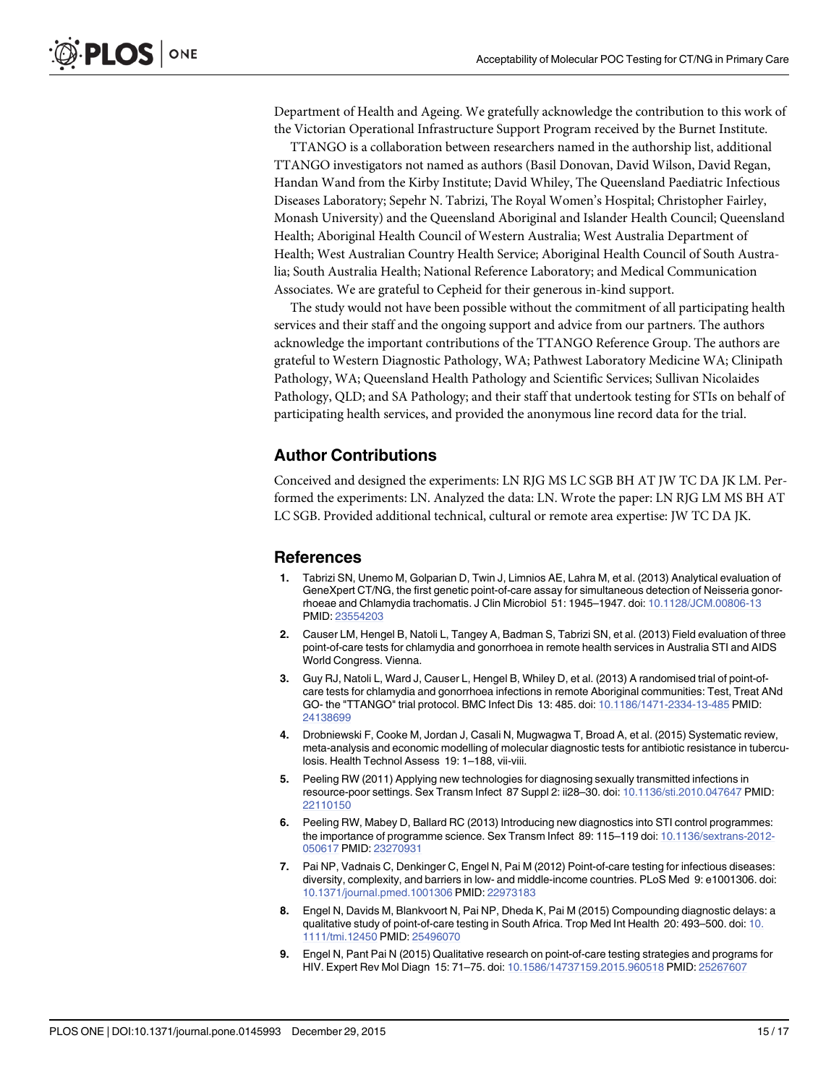<span id="page-14-0"></span>Department of Health and Ageing. We gratefully acknowledge the contribution to this work of the Victorian Operational Infrastructure Support Program received by the Burnet Institute.

TTANGO is a collaboration between researchers named in the authorship list, additional TTANGO investigators not named as authors (Basil Donovan, David Wilson, David Regan, Handan Wand from the Kirby Institute; David Whiley, The Queensland Paediatric Infectious Diseases Laboratory; Sepehr N. Tabrizi, The Royal Women's Hospital; Christopher Fairley, Monash University) and the Queensland Aboriginal and Islander Health Council; Queensland Health; Aboriginal Health Council of Western Australia; West Australia Department of Health; West Australian Country Health Service; Aboriginal Health Council of South Australia; South Australia Health; National Reference Laboratory; and Medical Communication Associates. We are grateful to Cepheid for their generous in-kind support.

The study would not have been possible without the commitment of all participating health services and their staff and the ongoing support and advice from our partners. The authors acknowledge the important contributions of the TTANGO Reference Group. The authors are grateful to Western Diagnostic Pathology, WA; Pathwest Laboratory Medicine WA; Clinipath Pathology, WA; Queensland Health Pathology and Scientific Services; Sullivan Nicolaides Pathology, QLD; and SA Pathology; and their staff that undertook testing for STIs on behalf of participating health services, and provided the anonymous line record data for the trial.

#### Author Contributions

Conceived and designed the experiments: LN RJG MS LC SGB BH AT JW TC DA JK LM. Performed the experiments: LN. Analyzed the data: LN. Wrote the paper: LN RJG LM MS BH AT LC SGB. Provided additional technical, cultural or remote area expertise: JW TC DA JK.

#### References

- [1.](#page-1-0) Tabrizi SN, Unemo M, Golparian D, Twin J, Limnios AE, Lahra M, et al. (2013) Analytical evaluation of GeneXpert CT/NG, the first genetic point-of-care assay for simultaneous detection of Neisseria gonorrhoeae and Chlamydia trachomatis. J Clin Microbiol 51: 1945–1947. doi: [10.1128/JCM.00806-13](http://dx.doi.org/10.1128/JCM.00806-13) PMID: [23554203](http://www.ncbi.nlm.nih.gov/pubmed/23554203)
- [2.](#page-1-0) Causer LM, Hengel B, Natoli L, Tangey A, Badman S, Tabrizi SN, et al. (2013) Field evaluation of three point-of-care tests for chlamydia and gonorrhoea in remote health services in Australia STI and AIDS World Congress. Vienna.
- [3.](#page-1-0) Guy RJ, Natoli L, Ward J, Causer L, Hengel B, Whiley D, et al. (2013) A randomised trial of point-ofcare tests for chlamydia and gonorrhoea infections in remote Aboriginal communities: Test, Treat ANd GO- the "TTANGO" trial protocol. BMC Infect Dis 13: 485. doi: [10.1186/1471-2334-13-485](http://dx.doi.org/10.1186/1471-2334-13-485) PMID: [24138699](http://www.ncbi.nlm.nih.gov/pubmed/24138699)
- [4.](#page-1-0) Drobniewski F, Cooke M, Jordan J, Casali N, Mugwagwa T, Broad A, et al. (2015) Systematic review, meta-analysis and economic modelling of molecular diagnostic tests for antibiotic resistance in tuberculosis. Health Technol Assess 19: 1–188, vii-viii.
- [5.](#page-1-0) Peeling RW (2011) Applying new technologies for diagnosing sexually transmitted infections in resource-poor settings. Sex Transm Infect 87 Suppl 2: ii28–30. doi: [10.1136/sti.2010.047647](http://dx.doi.org/10.1136/sti.2010.047647) PMID: [22110150](http://www.ncbi.nlm.nih.gov/pubmed/22110150)
- [6.](#page-1-0) Peeling RW, Mabey D, Ballard RC (2013) Introducing new diagnostics into STI control programmes: the importance of programme science. Sex Transm Infect 89: 115-119 doi: [10.1136/sextrans-2012-](http://dx.doi.org/10.1136/sextrans-2012-050617) [050617](http://dx.doi.org/10.1136/sextrans-2012-050617) PMID: [23270931](http://www.ncbi.nlm.nih.gov/pubmed/23270931)
- [7.](#page-1-0) Pai NP, Vadnais C, Denkinger C, Engel N, Pai M (2012) Point-of-care testing for infectious diseases: diversity, complexity, and barriers in low- and middle-income countries. PLoS Med 9: e1001306. doi: [10.1371/journal.pmed.1001306](http://dx.doi.org/10.1371/journal.pmed.1001306) PMID: [22973183](http://www.ncbi.nlm.nih.gov/pubmed/22973183)
- [8.](#page-1-0) Engel N, Davids M, Blankvoort N, Pai NP, Dheda K, Pai M (2015) Compounding diagnostic delays: a qualitative study of point-of-care testing in South Africa. Trop Med Int Health 20: 493–500. doi: [10.](http://dx.doi.org/10.1111/tmi.12450) [1111/tmi.12450](http://dx.doi.org/10.1111/tmi.12450) PMID: [25496070](http://www.ncbi.nlm.nih.gov/pubmed/25496070)
- [9.](#page-2-0) Engel N, Pant Pai N (2015) Qualitative research on point-of-care testing strategies and programs for HIV. Expert Rev Mol Diagn 15: 71–75. doi: [10.1586/14737159.2015.960518](http://dx.doi.org/10.1586/14737159.2015.960518) PMID: [25267607](http://www.ncbi.nlm.nih.gov/pubmed/25267607)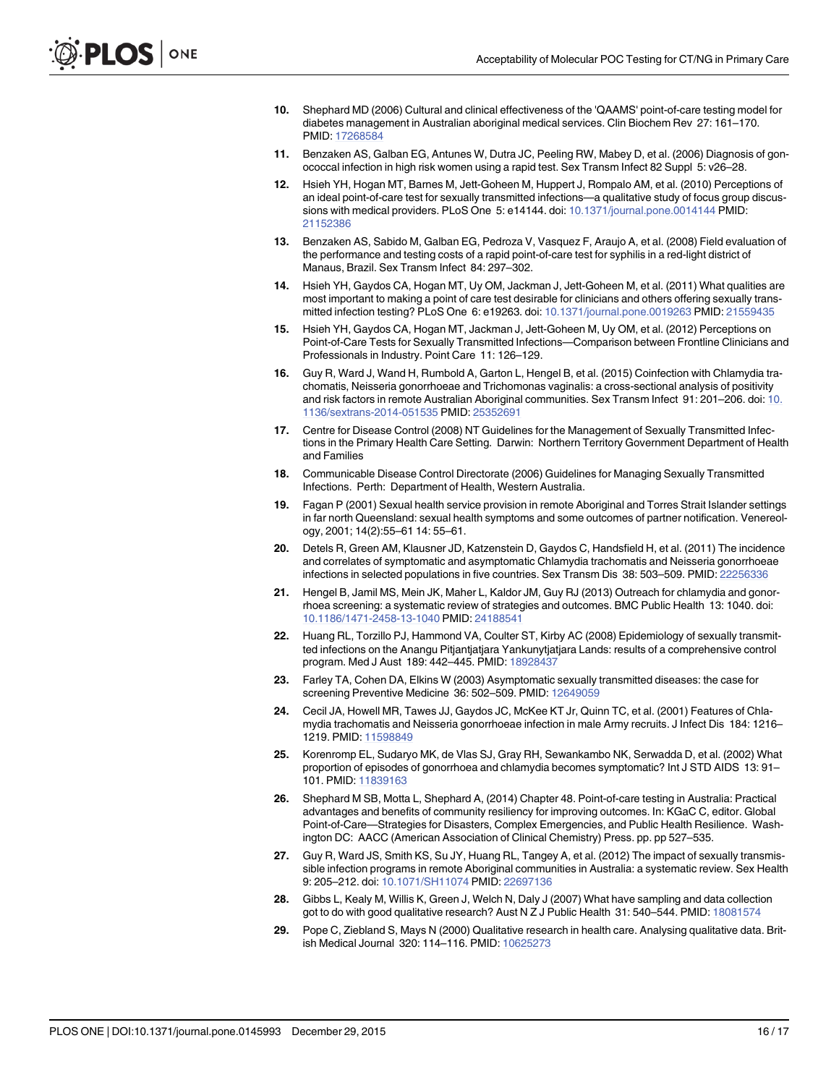- <span id="page-15-0"></span>[10.](#page-2-0) Shephard MD (2006) Cultural and clinical effectiveness of the 'QAAMS' point-of-care testing model for diabetes management in Australian aboriginal medical services. Clin Biochem Rev 27: 161–170. PMID: [17268584](http://www.ncbi.nlm.nih.gov/pubmed/17268584)
- 11. Benzaken AS, Galban EG, Antunes W, Dutra JC, Peeling RW, Mabey D, et al. (2006) Diagnosis of gonococcal infection in high risk women using a rapid test. Sex Transm Infect 82 Suppl 5: v26–28.
- [12.](#page-12-0) Hsieh YH, Hogan MT, Barnes M, Jett-Goheen M, Huppert J, Rompalo AM, et al. (2010) Perceptions of an ideal point-of-care test for sexually transmitted infections—a qualitative study of focus group discussions with medical providers. PLoS One 5: e14144. doi: [10.1371/journal.pone.0014144](http://dx.doi.org/10.1371/journal.pone.0014144) PMID: [21152386](http://www.ncbi.nlm.nih.gov/pubmed/21152386)
- 13. Benzaken AS, Sabido M, Galban EG, Pedroza V, Vasquez F, Araujo A, et al. (2008) Field evaluation of the performance and testing costs of a rapid point-of-care test for syphilis in a red-light district of Manaus, Brazil. Sex Transm Infect 84: 297–302.
- [14.](#page-12-0) Hsieh YH, Gaydos CA, Hogan MT, Uy OM, Jackman J, Jett-Goheen M, et al. (2011) What qualities are most important to making a point of care test desirable for clinicians and others offering sexually transmitted infection testing? PLoS One 6: e19263. doi: [10.1371/journal.pone.0019263](http://dx.doi.org/10.1371/journal.pone.0019263) PMID: [21559435](http://www.ncbi.nlm.nih.gov/pubmed/21559435)
- [15.](#page-2-0) Hsieh YH, Gaydos CA, Hogan MT, Jackman J, Jett-Goheen M, Uy OM, et al. (2012) Perceptions on Point-of-Care Tests for Sexually Transmitted Infections—Comparison between Frontline Clinicians and Professionals in Industry. Point Care 11: 126–129.
- [16.](#page-2-0) Guy R, Ward J, Wand H, Rumbold A, Garton L, Hengel B, et al. (2015) Coinfection with Chlamydia trachomatis, Neisseria gonorrhoeae and Trichomonas vaginalis: a cross-sectional analysis of positivity and risk factors in remote Australian Aboriginal communities. Sex Transm Infect 91: 201–206. doi: [10.](http://dx.doi.org/10.1136/sextrans-2014-051535) [1136/sextrans-2014-051535](http://dx.doi.org/10.1136/sextrans-2014-051535) PMID: [25352691](http://www.ncbi.nlm.nih.gov/pubmed/25352691)
- [17.](#page-2-0) Centre for Disease Control (2008) NT Guidelines for the Management of Sexually Transmitted Infections in the Primary Health Care Setting. Darwin: Northern Territory Government Department of Health and Families
- 18. Communicable Disease Control Directorate (2006) Guidelines for Managing Sexually Transmitted Infections. Perth: Department of Health, Western Australia.
- [19.](#page-2-0) Fagan P (2001) Sexual health service provision in remote Aboriginal and Torres Strait Islander settings in far north Queensland: sexual health symptoms and some outcomes of partner notification. Venereology, 2001; 14(2):55–61 14: 55–61.
- [20.](#page-2-0) Detels R, Green AM, Klausner JD, Katzenstein D, Gaydos C, Handsfield H, et al. (2011) The incidence and correlates of symptomatic and asymptomatic Chlamydia trachomatis and Neisseria gonorrhoeae infections in selected populations in five countries. Sex Transm Dis 38: 503–509. PMID: [22256336](http://www.ncbi.nlm.nih.gov/pubmed/22256336)
- [21.](#page-2-0) Hengel B, Jamil MS, Mein JK, Maher L, Kaldor JM, Guy RJ (2013) Outreach for chlamydia and gonorrhoea screening: a systematic review of strategies and outcomes. BMC Public Health 13: 1040. doi: [10.1186/1471-2458-13-1040](http://dx.doi.org/10.1186/1471-2458-13-1040) PMID: [24188541](http://www.ncbi.nlm.nih.gov/pubmed/24188541)
- 22. Huang RL, Torzillo PJ, Hammond VA, Coulter ST, Kirby AC (2008) Epidemiology of sexually transmitted infections on the Anangu Pitjantjatjara Yankunytjatjara Lands: results of a comprehensive control program. Med J Aust 189: 442–445. PMID: [18928437](http://www.ncbi.nlm.nih.gov/pubmed/18928437)
- 23. Farley TA, Cohen DA, Elkins W (2003) Asymptomatic sexually transmitted diseases: the case for screening Preventive Medicine 36: 502-509. PMID: [12649059](http://www.ncbi.nlm.nih.gov/pubmed/12649059)
- 24. Cecil JA, Howell MR, Tawes JJ, Gaydos JC, McKee KT Jr, Quinn TC, et al. (2001) Features of Chlamydia trachomatis and Neisseria gonorrhoeae infection in male Army recruits. J Infect Dis 184: 1216– 1219. PMID: [11598849](http://www.ncbi.nlm.nih.gov/pubmed/11598849)
- 25. Korenromp EL, Sudaryo MK, de Vlas SJ, Gray RH, Sewankambo NK, Serwadda D, et al. (2002) What proportion of episodes of gonorrhoea and chlamydia becomes symptomatic? Int J STD AIDS 13: 91– 101. PMID: [11839163](http://www.ncbi.nlm.nih.gov/pubmed/11839163)
- [26.](#page-2-0) Shephard M SB, Motta L, Shephard A, (2014) Chapter 48. Point-of-care testing in Australia: Practical advantages and benefits of community resiliency for improving outcomes. In: KGaC C, editor. Global Point-of-Care—Strategies for Disasters, Complex Emergencies, and Public Health Resilience. Washington DC: AACC (American Association of Clinical Chemistry) Press. pp. pp 527–535.
- [27.](#page-2-0) Guy R, Ward JS, Smith KS, Su JY, Huang RL, Tangey A, et al. (2012) The impact of sexually transmissible infection programs in remote Aboriginal communities in Australia: a systematic review. Sex Health 9: 205–212. doi: [10.1071/SH11074](http://dx.doi.org/10.1071/SH11074) PMID: [22697136](http://www.ncbi.nlm.nih.gov/pubmed/22697136)
- [28.](#page-3-0) Gibbs L, Kealy M, Willis K, Green J, Welch N, Daly J (2007) What have sampling and data collection got to do with good qualitative research? Aust N Z J Public Health 31: 540-544. PMID: [18081574](http://www.ncbi.nlm.nih.gov/pubmed/18081574)
- [29.](#page-3-0) Pope C, Ziebland S, Mays N (2000) Qualitative research in health care. Analysing qualitative data. Brit-ish Medical Journal 320: 114-116. PMID: [10625273](http://www.ncbi.nlm.nih.gov/pubmed/10625273)